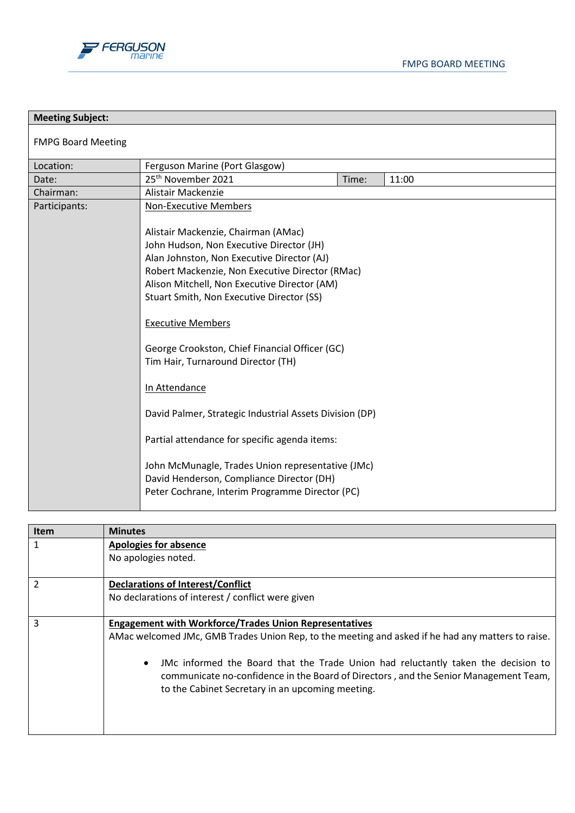



| <b>Meeting Subject:</b>   |                                                                                                                                                                                                                                                                                                                                                                                                                                                                                                                                                                                                                                                                                     |       |       |  |
|---------------------------|-------------------------------------------------------------------------------------------------------------------------------------------------------------------------------------------------------------------------------------------------------------------------------------------------------------------------------------------------------------------------------------------------------------------------------------------------------------------------------------------------------------------------------------------------------------------------------------------------------------------------------------------------------------------------------------|-------|-------|--|
| <b>FMPG Board Meeting</b> |                                                                                                                                                                                                                                                                                                                                                                                                                                                                                                                                                                                                                                                                                     |       |       |  |
| Location:                 | Ferguson Marine (Port Glasgow)                                                                                                                                                                                                                                                                                                                                                                                                                                                                                                                                                                                                                                                      |       |       |  |
| Date:                     | 25 <sup>th</sup> November 2021                                                                                                                                                                                                                                                                                                                                                                                                                                                                                                                                                                                                                                                      | Time: | 11:00 |  |
| Chairman:                 | Alistair Mackenzie                                                                                                                                                                                                                                                                                                                                                                                                                                                                                                                                                                                                                                                                  |       |       |  |
| Participants:             | <b>Non-Executive Members</b>                                                                                                                                                                                                                                                                                                                                                                                                                                                                                                                                                                                                                                                        |       |       |  |
|                           | Alistair Mackenzie, Chairman (AMac)<br>John Hudson, Non Executive Director (JH)<br>Alan Johnston, Non Executive Director (AJ)<br>Robert Mackenzie, Non Executive Director (RMac)<br>Alison Mitchell, Non Executive Director (AM)<br>Stuart Smith, Non Executive Director (SS)<br><b>Executive Members</b><br>George Crookston, Chief Financial Officer (GC)<br>Tim Hair, Turnaround Director (TH)<br>In Attendance<br>David Palmer, Strategic Industrial Assets Division (DP)<br>Partial attendance for specific agenda items:<br>John McMunagle, Trades Union representative (JMc)<br>David Henderson, Compliance Director (DH)<br>Peter Cochrane, Interim Programme Director (PC) |       |       |  |

| <b>Item</b>    | <b>Minutes</b>                                                                                                                                                                                                                             |
|----------------|--------------------------------------------------------------------------------------------------------------------------------------------------------------------------------------------------------------------------------------------|
| 1              | <b>Apologies for absence</b>                                                                                                                                                                                                               |
|                | No apologies noted.                                                                                                                                                                                                                        |
| $\mathfrak{p}$ | <b>Declarations of Interest/Conflict</b>                                                                                                                                                                                                   |
|                | No declarations of interest / conflict were given                                                                                                                                                                                          |
| 3              | <b>Engagement with Workforce/Trades Union Representatives</b>                                                                                                                                                                              |
|                | AMac welcomed JMc, GMB Trades Union Rep, to the meeting and asked if he had any matters to raise.                                                                                                                                          |
|                | JMc informed the Board that the Trade Union had reluctantly taken the decision to<br>$\bullet$<br>communicate no-confidence in the Board of Directors, and the Senior Management Team,<br>to the Cabinet Secretary in an upcoming meeting. |
|                |                                                                                                                                                                                                                                            |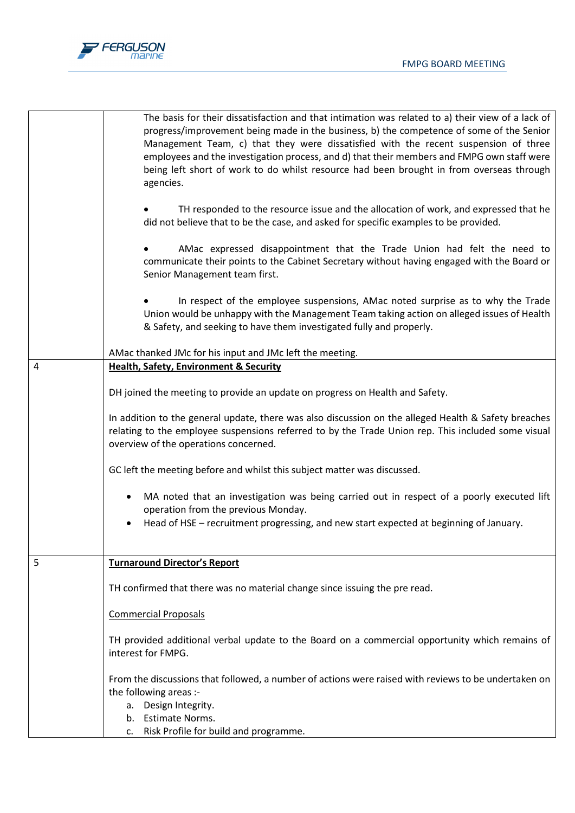

|   | The basis for their dissatisfaction and that intimation was related to a) their view of a lack of<br>progress/improvement being made in the business, b) the competence of some of the Senior<br>Management Team, c) that they were dissatisfied with the recent suspension of three<br>employees and the investigation process, and d) that their members and FMPG own staff were<br>being left short of work to do whilst resource had been brought in from overseas through<br>agencies. |
|---|---------------------------------------------------------------------------------------------------------------------------------------------------------------------------------------------------------------------------------------------------------------------------------------------------------------------------------------------------------------------------------------------------------------------------------------------------------------------------------------------|
|   | TH responded to the resource issue and the allocation of work, and expressed that he<br>did not believe that to be the case, and asked for specific examples to be provided.                                                                                                                                                                                                                                                                                                                |
|   | AMac expressed disappointment that the Trade Union had felt the need to<br>communicate their points to the Cabinet Secretary without having engaged with the Board or<br>Senior Management team first.                                                                                                                                                                                                                                                                                      |
|   | In respect of the employee suspensions, AMac noted surprise as to why the Trade<br>Union would be unhappy with the Management Team taking action on alleged issues of Health<br>& Safety, and seeking to have them investigated fully and properly.                                                                                                                                                                                                                                         |
|   | AMac thanked JMc for his input and JMc left the meeting.                                                                                                                                                                                                                                                                                                                                                                                                                                    |
| 4 | <b>Health, Safety, Environment &amp; Security</b>                                                                                                                                                                                                                                                                                                                                                                                                                                           |
|   | DH joined the meeting to provide an update on progress on Health and Safety.                                                                                                                                                                                                                                                                                                                                                                                                                |
|   | In addition to the general update, there was also discussion on the alleged Health & Safety breaches<br>relating to the employee suspensions referred to by the Trade Union rep. This included some visual<br>overview of the operations concerned.                                                                                                                                                                                                                                         |
|   | GC left the meeting before and whilst this subject matter was discussed.                                                                                                                                                                                                                                                                                                                                                                                                                    |
|   | MA noted that an investigation was being carried out in respect of a poorly executed lift<br>$\bullet$<br>operation from the previous Monday.                                                                                                                                                                                                                                                                                                                                               |
|   | Head of HSE - recruitment progressing, and new start expected at beginning of January.                                                                                                                                                                                                                                                                                                                                                                                                      |
| 5 | <b>Turnaround Director's Report</b>                                                                                                                                                                                                                                                                                                                                                                                                                                                         |
|   |                                                                                                                                                                                                                                                                                                                                                                                                                                                                                             |
|   | TH confirmed that there was no material change since issuing the pre read.                                                                                                                                                                                                                                                                                                                                                                                                                  |
|   | <b>Commercial Proposals</b>                                                                                                                                                                                                                                                                                                                                                                                                                                                                 |
|   | TH provided additional verbal update to the Board on a commercial opportunity which remains of<br>interest for FMPG.                                                                                                                                                                                                                                                                                                                                                                        |
|   | From the discussions that followed, a number of actions were raised with reviews to be undertaken on<br>the following areas :-<br>a. Design Integrity.<br>b. Estimate Norms.                                                                                                                                                                                                                                                                                                                |
|   | c. Risk Profile for build and programme.                                                                                                                                                                                                                                                                                                                                                                                                                                                    |